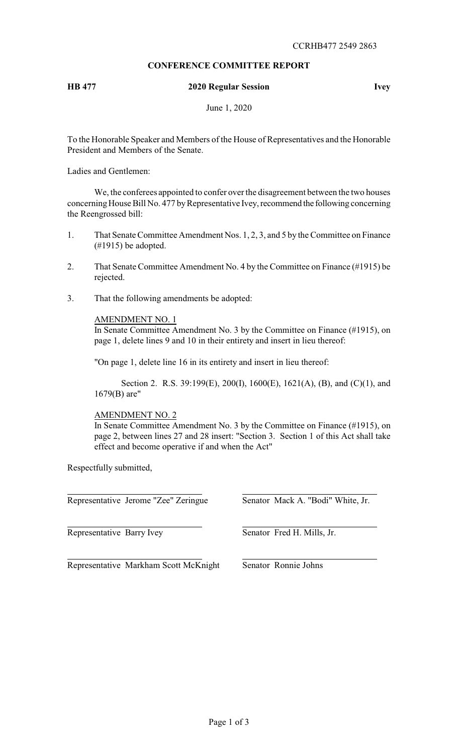# **CONFERENCE COMMITTEE REPORT**

# **HB 477 2020 Regular Session Ivey**

June 1, 2020

To the Honorable Speaker and Members of the House of Representatives and the Honorable President and Members of the Senate.

Ladies and Gentlemen:

We, the conferees appointed to confer over the disagreement between the two houses concerning House Bill No. 477 by Representative Ivey, recommend the following concerning the Reengrossed bill:

- 1. That Senate Committee Amendment Nos. 1, 2, 3, and 5 by the Committee on Finance (#1915) be adopted.
- 2. That Senate Committee Amendment No. 4 by the Committee on Finance (#1915) be rejected.
- 3. That the following amendments be adopted:

AMENDMENT NO. 1

In Senate Committee Amendment No. 3 by the Committee on Finance (#1915), on page 1, delete lines 9 and 10 in their entirety and insert in lieu thereof:

"On page 1, delete line 16 in its entirety and insert in lieu thereof:

Section 2. R.S. 39:199(E), 200(I), 1600(E), 1621(A), (B), and (C)(1), and 1679(B) are"

# AMENDMENT NO. 2

In Senate Committee Amendment No. 3 by the Committee on Finance (#1915), on page 2, between lines 27 and 28 insert: "Section 3. Section 1 of this Act shall take effect and become operative if and when the Act"

Respectfully submitted,

Representative Jerome "Zee" Zeringue Senator Mack A. "Bodi" White, Jr.

Representative Barry Ivey Senator Fred H. Mills, Jr.

Representative Markham Scott McKnight Senator Ronnie Johns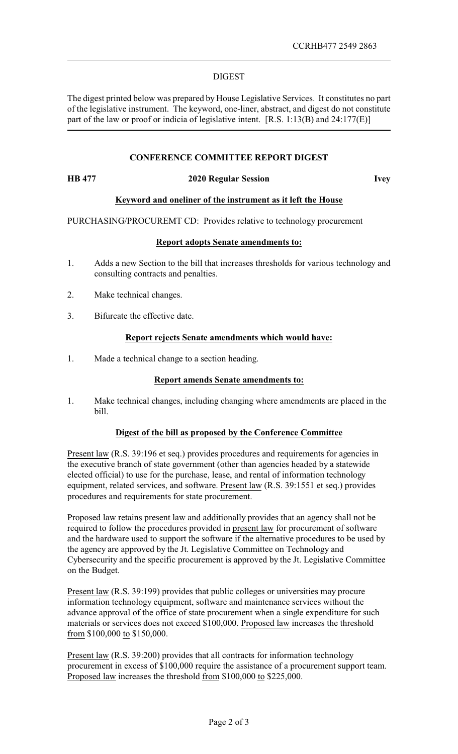### DIGEST

The digest printed below was prepared by House Legislative Services. It constitutes no part of the legislative instrument. The keyword, one-liner, abstract, and digest do not constitute part of the law or proof or indicia of legislative intent. [R.S. 1:13(B) and 24:177(E)]

# **CONFERENCE COMMITTEE REPORT DIGEST**

#### **HB 477 2020 Regular Session Ivey**

# **Keyword and oneliner of the instrument as it left the House**

PURCHASING/PROCUREMT CD: Provides relative to technology procurement

# **Report adopts Senate amendments to:**

- 1. Adds a new Section to the bill that increases thresholds for various technology and consulting contracts and penalties.
- 2. Make technical changes.
- 3. Bifurcate the effective date.

### **Report rejects Senate amendments which would have:**

1. Made a technical change to a section heading.

# **Report amends Senate amendments to:**

1. Make technical changes, including changing where amendments are placed in the bill.

### **Digest of the bill as proposed by the Conference Committee**

Present law (R.S. 39:196 et seq.) provides procedures and requirements for agencies in the executive branch of state government (other than agencies headed by a statewide elected official) to use for the purchase, lease, and rental of information technology equipment, related services, and software. Present law (R.S. 39:1551 et seq.) provides procedures and requirements for state procurement.

Proposed law retains present law and additionally provides that an agency shall not be required to follow the procedures provided in present law for procurement of software and the hardware used to support the software if the alternative procedures to be used by the agency are approved by the Jt. Legislative Committee on Technology and Cybersecurity and the specific procurement is approved by the Jt. Legislative Committee on the Budget.

Present law (R.S. 39:199) provides that public colleges or universities may procure information technology equipment, software and maintenance services without the advance approval of the office of state procurement when a single expenditure for such materials or services does not exceed \$100,000. Proposed law increases the threshold from \$100,000 to \$150,000.

Present law (R.S. 39:200) provides that all contracts for information technology procurement in excess of \$100,000 require the assistance of a procurement support team. Proposed law increases the threshold from \$100,000 to \$225,000.